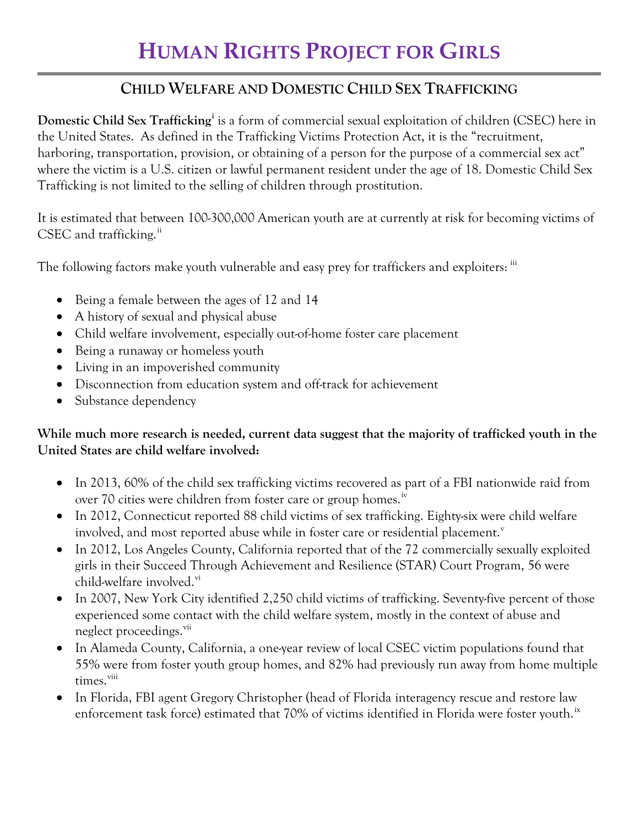## **CHILD WELFARE AND DOMESTIC CHILD SEX TRAFFICKING**

**Domestic Child Sex Trafficking[i](#page-1-0)** is a form of commercial sexual exploitation of children (CSEC) here in the United States. As defined in the Trafficking Victims Protection Act, it is the "recruitment, harboring, transportation, provision, or obtaining of a person for the purpose of a commercial sex act" where the victim is a U.S. citizen or lawful permanent resident under the age of 18. Domestic Child Sex Trafficking is not limited to the selling of children through prostitution.

It is estimated that between 100-300,000 American youth are at currently at risk for becoming victims of CSEC and trafficking. $\mathrm{ii}$  $\mathrm{ii}$  $\mathrm{ii}$ 

The following factors make youth vulnerable and easy prey for traffickers and exploiters: [iii](#page-1-2)

- Being a female between the ages of 12 and 14
- A history of sexual and physical abuse
- Child welfare involvement, especially out-of-home foster care placement
- Being a runaway or homeless youth
- Living in an impoverished community
- Disconnection from education system and off-track for achievement
- Substance dependency

## **While much more research is needed, current data suggest that the majority of trafficked youth in the United States are child welfare involved:**

- In 2013, 60% of the child sex trafficking victims recovered as part of a FBI nationwide raid from over 70 cities were children from foster care or group homes.<sup>[iv](#page-1-3)</sup>
- In 2012, Connecticut reported 88 child victims of sex trafficking. Eighty-six were child welfare in[v](#page-1-4)olved, and most reported abuse while in foster care or residential placement.<sup>v</sup>
- In 2012, Los Angeles County, California reported that of the 72 commercially sexually exploited girls in their Succeed Through Achievement and Resilience (STAR) Court Program, 56 were child-welfare involved.<sup>[vi](#page-1-5)</sup>
- In 2007, New York City identified 2,250 child victims of trafficking. Seventy-five percent of those experienced some contact with the child welfare system, mostly in the context of abuse and neglect proceedings.<sup>[vii](#page-1-6)</sup>
- In Alameda County, California, a one-year review of local CSEC victim populations found that 55% were from foster youth group homes, and 82% had previously run away from home multiple times.<sup>[viii](#page-1-7)</sup>
- In Florida, FBI agent Gregory Christopher (head of Florida interagency rescue and restore law enforcement task force) estimated that 70% of victims identified in Florida were foster youth.<sup>[ix](#page-1-8)</sup>